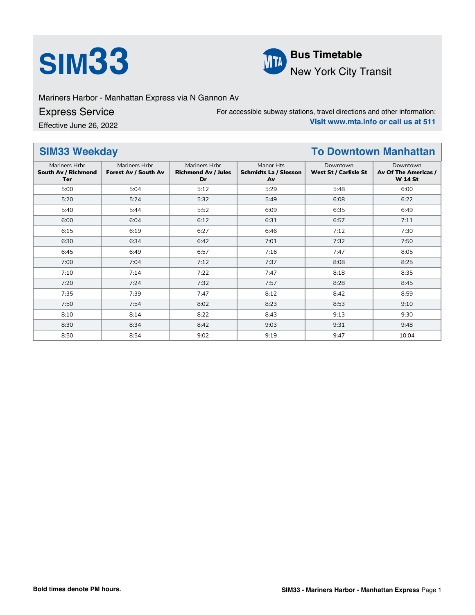



Mariners Harbor - Manhattan Express via N Gannon Av

Express Service

Effective June 26, 2022

For accessible subway stations, travel directions and other information: **Visit www.mta.info or call us at 511**

### **SIM33 Weekday To Downtown Manhattan** Mariners Hrbr **South Av / Richmond Ter** Mariners Hrbr **Forest Av / South Av** Mariners Hrbr **Richmond Av / Jules Dr** Manor Hts **Schmidts La / Slosson Av** Downtown **West St / Carlisle St** Downtown **Av Of The Americas / W 14 St** 5:00 5:04 5:12 5:29 5:48 6:00 5:20 5:24 5:32 5:49 6:08 6:22 5:40 5:44 5:52 6:09 6:35 6:49 6:00 6:04 6:12 6:31 6:57 7:11 6:15 6:19 6:27 6:46 7:12 7:30 6:30 6:34 6:42 7:01 7:32 7:50 6:45 6:49 6:57 7:16 7:47 8:05 7:00 7:04 7:12 7:37 8:08 8:25 7:10 7:14 7:22 7:47 8:18 8:35 7:20 7:24 7:32 7:57 8:28 8:45 7:35 7:39 7:47 8:12 8:42 8:59 7:50 7:54 8:02 8:23 8:53 9:10 8:10 8:14 8:22 8:43 9:13 9:30 8:30 | 8:34 | 8:42 | 9:03 | 9:31 | 9:48 8:50 8:54 9:02 9:19 9:47 10:04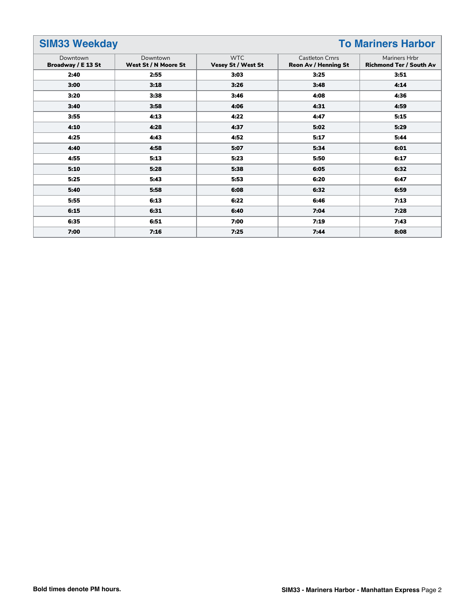# **SIM33 Weekday To Mariners Harbor**

| Downtown           | Downtown             | <b>WTC</b>         | <b>Castleton Crnrs</b>      | Mariners Hrbr                  |  |
|--------------------|----------------------|--------------------|-----------------------------|--------------------------------|--|
| Broadway / E 13 St | West St / N Moore St | Vesey St / West St | <b>Reon Av / Henning St</b> | <b>Richmond Ter / South Av</b> |  |
| 2:40               | 2:55                 | 3:03               | 3:25                        | 3:51                           |  |
| 3:00               | 3:18                 | 3:26               | 3:48                        | 4:14                           |  |
| 3:20               | 3:38                 | 3:46               | 4:08                        | 4:36                           |  |
| 3:40               | 3:58                 | 4:06               | 4:31                        | 4:59                           |  |
| 3:55               | 4:13                 | 4:22               | 4:47                        | 5:15                           |  |
| 4:10               | 4:28                 | 4:37               | 5:02                        | 5:29                           |  |
| 4:25               | 4:43                 | 4:52               | 5:17                        | 5:44                           |  |
| 4:40               | 4:58                 | 5:07               | 5:34                        | 6:01                           |  |
| 4:55               | 5:13                 | 5:23               | 5:50                        | 6:17                           |  |
| 5:10               | 5:28                 | 5:38               | 6:05                        | 6:32                           |  |
| 5:25               | 5:43                 | 5:53               | 6:20                        | 6:47                           |  |
| 5:40               | 5:58                 | 6:08               | 6:32                        | 6:59                           |  |
| 5:55               | 6:13                 | 6:22               | 6:46                        | 7:13                           |  |
| 6:15               | 6:31                 | 6:40               | 7:04                        | 7:28                           |  |
| 6:35               | 6:51                 | 7:00               | 7:19                        | 7:43                           |  |
| 7:00               | 7:16                 | 7:25               | 7:44                        | 8:08                           |  |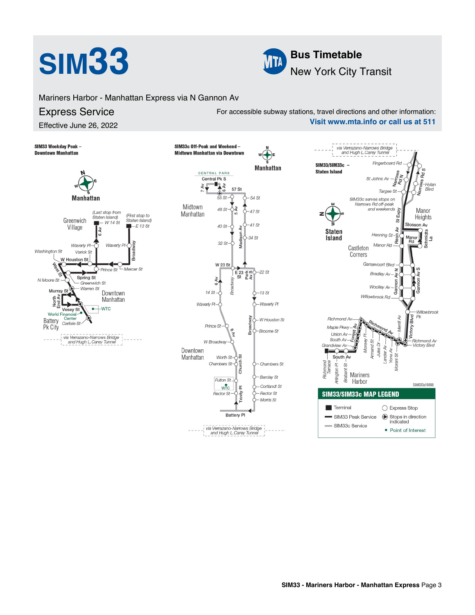

Mariners Harbor - Manhattan Express via N Gannon Av

# Express Service

Effective June 26, 2022

For accessible subway stations, travel directions and other information: **Visit www.mta.info or call us at 511**

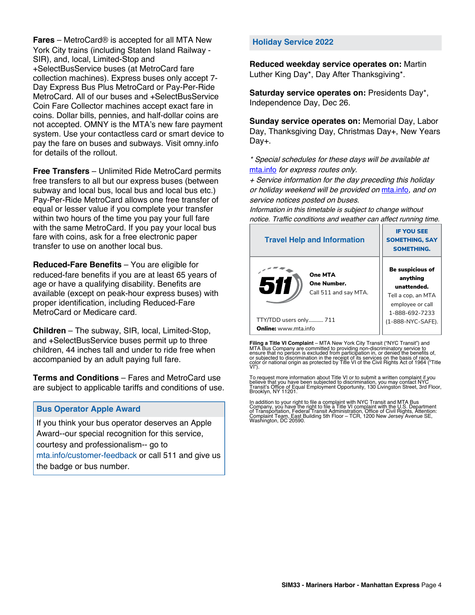**Fares** – MetroCard® is accepted for all MTA New York City trains (including Staten Island Railway - SIR), and, local, Limited-Stop and +SelectBusService buses (at MetroCard fare collection machines). Express buses only accept 7- Day Express Bus Plus MetroCard or Pay-Per-Ride MetroCard. All of our buses and +SelectBusService Coin Fare Collector machines accept exact fare in coins. Dollar bills, pennies, and half-dollar coins are not accepted. OMNY is the MTA's new fare payment system. Use your contactless card or smart device to pay the fare on buses and subways. Visit omny.info for details of the rollout.

**Free Transfers** – Unlimited Ride MetroCard permits free transfers to all but our express buses (between subway and local bus, local bus and local bus etc.) Pay-Per-Ride MetroCard allows one free transfer of equal or lesser value if you complete your transfer within two hours of the time you pay your full fare with the same MetroCard. If you pay your local bus fare with coins, ask for a free electronic paper transfer to use on another local bus.

**Reduced-Fare Benefits** – You are eligible for reduced-fare benefits if you are at least 65 years of age or have a qualifying disability. Benefits are available (except on peak-hour express buses) with proper identification, including Reduced-Fare MetroCard or Medicare card.

**Children** – The subway, SIR, local, Limited-Stop, and +SelectBusService buses permit up to three children, 44 inches tall and under to ride free when accompanied by an adult paying full fare.

**Terms and Conditions** – Fares and MetroCard use are subject to applicable tariffs and conditions of use.

## **Bus Operator Apple Award**

If you think your bus operator deserves an Apple Award--our special recognition for this service, courtesy and professionalism-- go to mta.info/customer-feedback or call 511 and give us the badge or bus number.

## **Holiday Service 2022**

**Reduced weekday service operates on:** Martin Luther King Day\*, Day After Thanksgiving\*.

**Saturday service operates on:** Presidents Day\*, Independence Day, Dec 26.

**Sunday service operates on:** Memorial Day, Labor Day, Thanksgiving Day, Christmas Day+, New Years Day+.

\* Special schedules for these days will be available at [mta.info](https://new.mta.info/) for express routes only.

+ Service information for the day preceding this holiday or holiday weekend will be provided on [mta.info](https://new.mta.info/), and on service notices posted on buses.

Information in this timetable is subject to change without notice. Traffic conditions and weather can affect running time.

| <b>Travel Help and Information</b>                     | <b>IF YOU SEE</b><br><b>SOMETHING, SAY</b><br><b>SOMETHING.</b>                                         |  |
|--------------------------------------------------------|---------------------------------------------------------------------------------------------------------|--|
| One MTA<br>511<br>One Number.<br>Call 511 and say MTA. | Be suspicious of<br>anything<br>unattended.<br>Tell a cop, an MTA<br>employee or call<br>1-888-692-7233 |  |
| TTY/TDD users only 711                                 | (1-888-NYC-SAFE).                                                                                       |  |
| <b>Online:</b> www.mta.info                            |                                                                                                         |  |

**Filing a Title VI Complaint** – MTA New York City Transit ("NYC Transit") and<br>MTA Bus Company are committed to providing non-discriminatory service to<br>ensure that no person is excluded from participation in, or denied the

To request more information about Title VI or to submit a written complaint if you believe that you have been subjected to discrimination, you may contact NYC<br>Transit's Office of Equal Employment Opportunity, 130 Livingston Street, 3rd Floor,<br>Brooklyn, NY 11201.

In addition to your right to file a complaint with NYC Transit and MTA Bus<br>Company, you have the right to file a Title VI complaint with the U.S. Department<br>of Transportation, Federal Transit Administration, Office of Civi